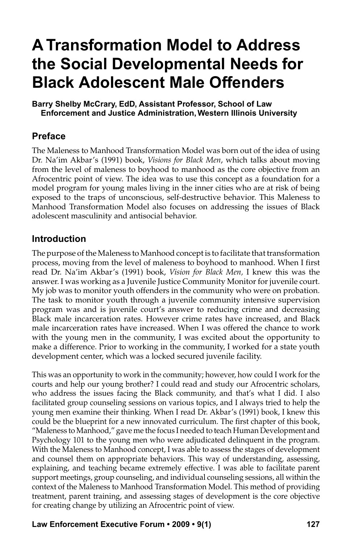# **A Transformation Model to Address the Social Developmental Needs for Black Adolescent Male Offenders**

**Barry Shelby McCrary, EdD, Assistant Professor, School of Law Enforcement and Justice Administration, Western Illinois University**

## **Preface**

The Maleness to Manhood Transformation Model was born out of the idea of using Dr. Na'im Akbar's (1991) book, *Visions for Black Men*, which talks about moving from the level of maleness to boyhood to manhood as the core objective from an Afrocentric point of view. The idea was to use this concept as a foundation for a model program for young males living in the inner cities who are at risk of being exposed to the traps of unconscious, self-destructive behavior. This Maleness to Manhood Transformation Model also focuses on addressing the issues of Black adolescent masculinity and antisocial behavior.

## **Introduction**

The purpose of the Maleness to Manhood concept is to facilitate that transformation process, moving from the level of maleness to boyhood to manhood. When I first read Dr. Na'im Akbar's (1991) book, *Vision for Black Men,* I knew this was the answer. I was working as a Juvenile Justice Community Monitor for juvenile court. My job was to monitor youth offenders in the community who were on probation. The task to monitor youth through a juvenile community intensive supervision program was and is juvenile court's answer to reducing crime and decreasing Black male incarceration rates. However crime rates have increased, and Black male incarceration rates have increased. When I was offered the chance to work with the young men in the community, I was excited about the opportunity to make a difference. Prior to working in the community, I worked for a state youth development center, which was a locked secured juvenile facility.

This was an opportunity to work in the community; however, how could I work for the courts and help our young brother? I could read and study our Afrocentric scholars, who address the issues facing the Black community, and that's what I did. I also facilitated group counseling sessions on various topics, and I always tried to help the young men examine their thinking. When I read Dr. Akbar's (1991) book, I knew this could be the blueprint for a new innovated curriculum. The first chapter of this book, "Maleness to Manhood," gave me the focus I needed to teach Human Development and Psychology 101 to the young men who were adjudicated delinquent in the program. With the Maleness to Manhood concept, I was able to assess the stages of development and counsel them on appropriate behaviors. This way of understanding, assessing, explaining, and teaching became extremely effective. I was able to facilitate parent support meetings, group counseling, and individual counseling sessions, all within the context of the Maleness to Manhood Transformation Model. This method of providing treatment, parent training, and assessing stages of development is the core objective for creating change by utilizing an Afrocentric point of view.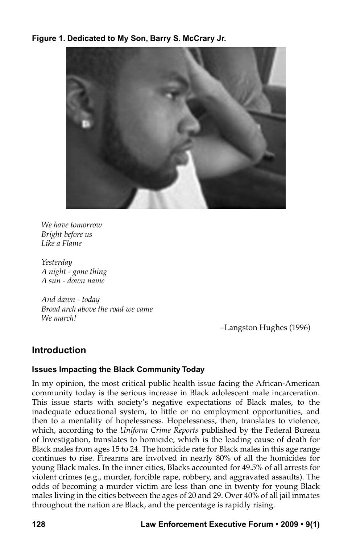### **Figure 1. Dedicated to My Son, Barry S. McCrary Jr.**



*We have tomorrow Bright before us Like a Flame*

*Yesterday A night - gone thing A sun - down name*

*And dawn - today Broad arch above the road we came We march!*

–Langston Hughes (1996)

# **Introduction**

#### **Issues Impacting the Black Community Today**

In my opinion, the most critical public health issue facing the African-American community today is the serious increase in Black adolescent male incarceration. This issue starts with society's negative expectations of Black males, to the inadequate educational system, to little or no employment opportunities, and then to a mentality of hopelessness. Hopelessness, then, translates to violence, which, according to the *Uniform Crime Reports* published by the Federal Bureau of Investigation, translates to homicide, which is the leading cause of death for Black males from ages 15 to 24. The homicide rate for Black males in this age range continues to rise. Firearms are involved in nearly 80% of all the homicides for young Black males. In the inner cities, Blacks accounted for 49.5% of all arrests for violent crimes (e.g., murder, forcible rape, robbery, and aggravated assaults). The odds of becoming a murder victim are less than one in twenty for young Black males living in the cities between the ages of 20 and 29. Over 40% of all jail inmates throughout the nation are Black, and the percentage is rapidly rising.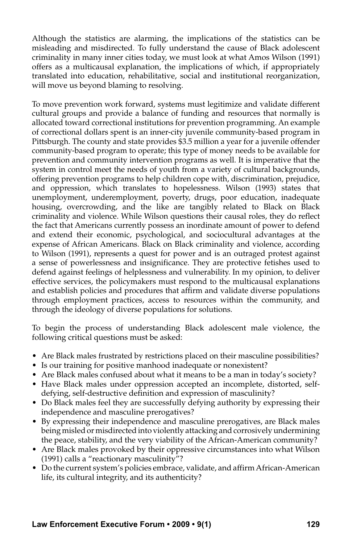Although the statistics are alarming, the implications of the statistics can be misleading and misdirected. To fully understand the cause of Black adolescent criminality in many inner cities today, we must look at what Amos Wilson (1991) offers as a multicausal explanation, the implications of which, if appropriately translated into education, rehabilitative, social and institutional reorganization, will move us beyond blaming to resolving.

To move prevention work forward, systems must legitimize and validate different cultural groups and provide a balance of funding and resources that normally is allocated toward correctional institutions for prevention programming. An example of correctional dollars spent is an inner-city juvenile community-based program in Pittsburgh. The county and state provides \$3.5 million a year for a juvenile offender community-based program to operate; this type of money needs to be available for prevention and community intervention programs as well. It is imperative that the system in control meet the needs of youth from a variety of cultural backgrounds, offering prevention programs to help children cope with, discrimination, prejudice, and oppression, which translates to hopelessness. Wilson (1993) states that unemployment, underemployment, poverty, drugs, poor education, inadequate housing, overcrowding, and the like are tangibly related to Black on Black criminality and violence. While Wilson questions their causal roles, they do reflect the fact that Americans currently possess an inordinate amount of power to defend and extend their economic, psychological, and sociocultural advantages at the expense of African Americans. Black on Black criminality and violence, according to Wilson (1991), represents a quest for power and is an outraged protest against a sense of powerlessness and insignificance. They are protective fetishes used to defend against feelings of helplessness and vulnerability. In my opinion, to deliver effective services, the policymakers must respond to the multicausal explanations and establish policies and procedures that affirm and validate diverse populations through employment practices, access to resources within the community, and through the ideology of diverse populations for solutions.

To begin the process of understanding Black adolescent male violence, the following critical questions must be asked:

- Are Black males frustrated by restrictions placed on their masculine possibilities?
- Is our training for positive manhood inadequate or nonexistent?
- Are Black males confused about what it means to be a man in today's society?
- • Have Black males under oppression accepted an incomplete, distorted, selfdefying, self-destructive definition and expression of masculinity?
- Do Black males feel they are successfully defying authority by expressing their independence and masculine prerogatives?
- • By expressing their independence and masculine prerogatives, are Black males being misled or misdirected into violently attacking and corrosively undermining the peace, stability, and the very viability of the African-American community?
- • Are Black males provoked by their oppressive circumstances into what Wilson (1991) calls a "reactionary masculinity"?
- • Do the current system's policies embrace, validate, and affirm African-American life, its cultural integrity, and its authenticity?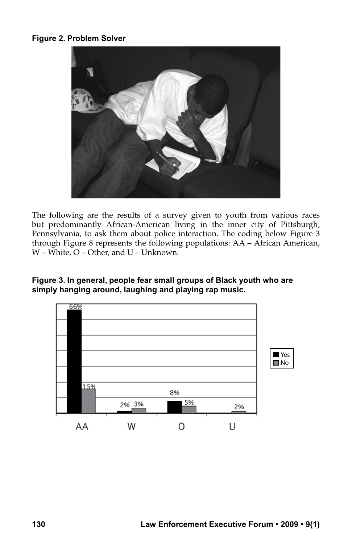## **Figure 2. Problem Solver**



The following are the results of a survey given to youth from various races but predominantly African-American living in the inner city of Pittsburgh, Pennsylvania, to ask them about police interaction. The coding below Figure 3 through Figure 8 represents the following populations: AA – African American, W – White, O – Other, and U – Unknown.

#### **Figure 3. In general, people fear small groups of Black youth who are simply hanging around, laughing and playing rap music.**

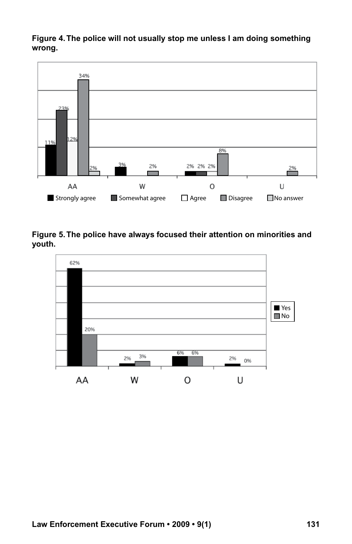**Figure 4. The police will not usually stop me unless I am doing something wrong.**



**Figure 5. The police have always focused their attention on minorities and youth.**

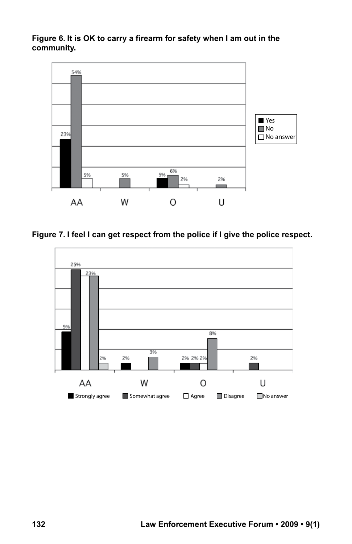**Figure 6. It is OK to carry a firearm for safety when I am out in the community.**



**Figure 7. I feel I can get respect from the police if I give the police respect.**

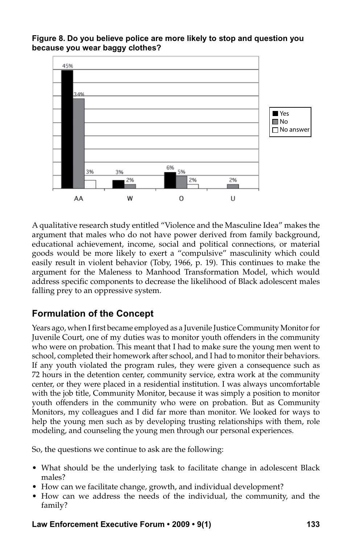



A qualitative research study entitled "Violence and the Masculine Idea" makes the argument that males who do not have power derived from family background, educational achievement, income, social and political connections, or material goods would be more likely to exert a "compulsive" masculinity which could easily result in violent behavior (Toby, 1966, p. 19). This continues to make the argument for the Maleness to Manhood Transformation Model, which would address specific components to decrease the likelihood of Black adolescent males falling prey to an oppressive system.

# **Formulation of the Concept**

Years ago, when I first became employed as a Juvenile Justice Community Monitor for Juvenile Court, one of my duties was to monitor youth offenders in the community who were on probation. This meant that I had to make sure the young men went to school, completed their homework after school, and I had to monitor their behaviors. If any youth violated the program rules, they were given a consequence such as 72 hours in the detention center, community service, extra work at the community center, or they were placed in a residential institution. I was always uncomfortable with the job title, Community Monitor, because it was simply a position to monitor youth offenders in the community who were on probation. But as Community Monitors, my colleagues and I did far more than monitor. We looked for ways to help the young men such as by developing trusting relationships with them, role modeling, and counseling the young men through our personal experiences.

So, the questions we continue to ask are the following:

- What should be the underlying task to facilitate change in adolescent Black males?
- How can we facilitate change, growth, and individual development?
- How can we address the needs of the individual, the community, and the family?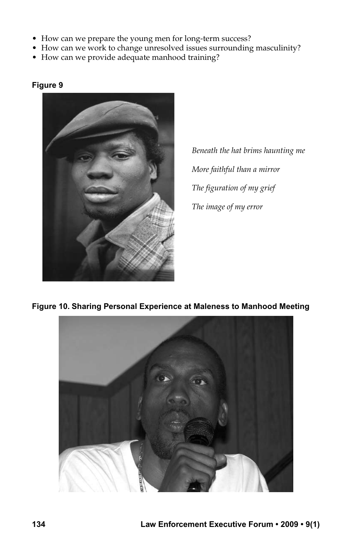- How can we prepare the young men for long-term success?
- How can we work to change unresolved issues surrounding masculinity?
- How can we provide adequate manhood training?



#### **Figure 9**

*Beneath the hat brims haunting me More faithful than a mirror The figuration of my grief The image of my error*

## **Figure 10. Sharing Personal Experience at Maleness to Manhood Meeting**

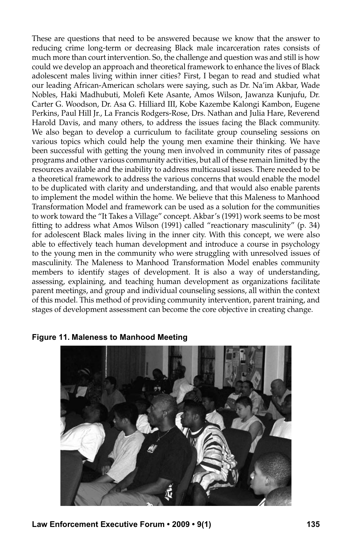These are questions that need to be answered because we know that the answer to reducing crime long-term or decreasing Black male incarceration rates consists of much more than court intervention. So, the challenge and question was and still is how could we develop an approach and theoretical framework to enhance the lives of Black adolescent males living within inner cities? First, I began to read and studied what our leading African-American scholars were saying, such as Dr. Na'im Akbar, Wade Nobles, Haki Madhubuti, Molefi Kete Asante, Amos Wilson, Jawanza Kunjufu, Dr. Carter G. Woodson, Dr. Asa G. Hilliard III, Kobe Kazembe Kalongi Kambon, Eugene Perkins, Paul Hill Jr., La Francis Rodgers-Rose, Drs. Nathan and Julia Hare, Reverend Harold Davis, and many others, to address the issues facing the Black community. We also began to develop a curriculum to facilitate group counseling sessions on various topics which could help the young men examine their thinking. We have been successful with getting the young men involved in community rites of passage programs and other various community activities, but all of these remain limited by the resources available and the inability to address multicausal issues. There needed to be a theoretical framework to address the various concerns that would enable the model to be duplicated with clarity and understanding, and that would also enable parents to implement the model within the home. We believe that this Maleness to Manhood Transformation Model and framework can be used as a solution for the communities to work toward the "It Takes a Village" concept. Akbar's (1991) work seems to be most fitting to address what Amos Wilson (1991) called "reactionary masculinity" (p. 34) for adolescent Black males living in the inner city. With this concept, we were also able to effectively teach human development and introduce a course in psychology to the young men in the community who were struggling with unresolved issues of masculinity. The Maleness to Manhood Transformation Model enables community members to identify stages of development. It is also a way of understanding, assessing, explaining, and teaching human development as organizations facilitate parent meetings, and group and individual counseling sessions, all within the context of this model. This method of providing community intervention, parent training, and stages of development assessment can become the core objective in creating change.



**Figure 11. Maleness to Manhood Meeting**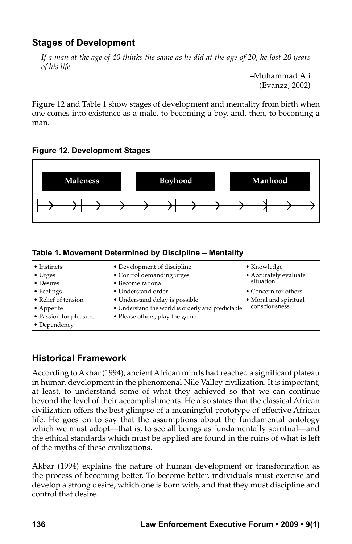# **Stages of Development**

*If a man at the age of 40 thinks the same as he did at the age of 20, he lost 20 years of his life.*

> –Muhammad Ali (Evanzz, 2002)

Figure 12 and Table 1 show stages of development and mentality from birth when one comes into existence as a male, to becoming a boy, and, then, to becoming a man.





#### **Table 1. Movement Determined by Discipline – Mentality**

| • Instincts            | • Development of discipline                       | • Knowledge                            |
|------------------------|---------------------------------------------------|----------------------------------------|
| $\bullet$ Urges        | • Control demanding urges                         | • Accurately evaluate<br>situation     |
| • Desires              | • Become rational                                 |                                        |
| • Feelings             | • Understand order                                | • Concern for others                   |
| • Relief of tension    | • Understand delay is possible                    | • Moral and spiritual<br>consciousness |
| • Appetite             | • Understand the world is orderly and predictable |                                        |
| • Passion for pleasure | • Please others; play the game                    |                                        |
| • Dependency           |                                                   |                                        |
|                        |                                                   |                                        |

# **Historical Framework**

According to Akbar (1994), ancient African minds had reached a significant plateau in human development in the phenomenal Nile Valley civilization. It is important, at least, to understand some of what they achieved so that we can continue beyond the level of their accomplishments. He also states that the classical African civilization offers the best glimpse of a meaningful prototype of effective African life. He goes on to say that the assumptions about the fundamental ontology which we must adopt—that is, to see all beings as fundamentally spiritual—and the ethical standards which must be applied are found in the ruins of what is left of the myths of these civilizations.

Akbar (1994) explains the nature of human development or transformation as the process of becoming better. To become better, individuals must exercise and develop a strong desire, which one is born with, and that they must discipline and control that desire.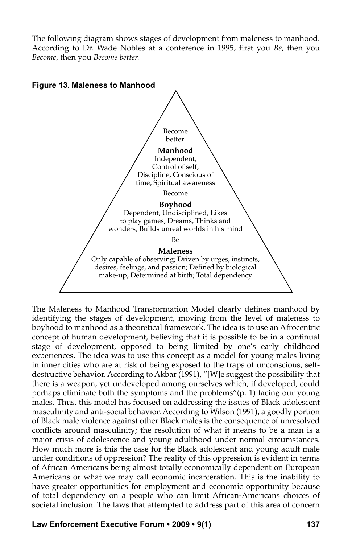The following diagram shows stages of development from maleness to manhood. According to Dr. Wade Nobles at a conference in 1995, first you *Be*, then you *Become*, then you *Become better.*



The Maleness to Manhood Transformation Model clearly defines manhood by identifying the stages of development, moving from the level of maleness to boyhood to manhood as a theoretical framework. The idea is to use an Afrocentric concept of human development, believing that it is possible to be in a continual stage of development, opposed to being limited by one's early childhood experiences. The idea was to use this concept as a model for young males living in inner cities who are at risk of being exposed to the traps of unconscious, selfdestructive behavior. According to Akbar (1991), "[W]e suggest the possibility that there is a weapon, yet undeveloped among ourselves which, if developed, could perhaps eliminate both the symptoms and the problems"(p. 1) facing our young males. Thus, this model has focused on addressing the issues of Black adolescent masculinity and anti-social behavior. According to Wilson (1991), a goodly portion of Black male violence against other Black males is the consequence of unresolved conflicts around masculinity; the resolution of what it means to be a man is a major crisis of adolescence and young adulthood under normal circumstances. How much more is this the case for the Black adolescent and young adult male under conditions of oppression? The reality of this oppression is evident in terms of African Americans being almost totally economically dependent on European Americans or what we may call economic incarceration. This is the inability to have greater opportunities for employment and economic opportunity because of total dependency on a people who can limit African-Americans choices of societal inclusion. The laws that attempted to address part of this area of concern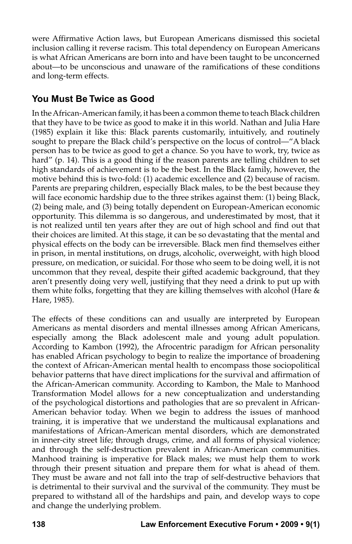were Affirmative Action laws, but European Americans dismissed this societal inclusion calling it reverse racism. This total dependency on European Americans is what African Americans are born into and have been taught to be unconcerned about—to be unconscious and unaware of the ramifications of these conditions and long-term effects.

# **You Must Be Twice as Good**

In the African-American family, it has been a common theme to teach Black children that they have to be twice as good to make it in this world. Nathan and Julia Hare (1985) explain it like this: Black parents customarily, intuitively, and routinely sought to prepare the Black child's perspective on the locus of control—"A black person has to be twice as good to get a chance. So you have to work, try, twice as hard" (p. 14). This is a good thing if the reason parents are telling children to set high standards of achievement is to be the best. In the Black family, however, the motive behind this is two-fold: (1) academic excellence and (2) because of racism. Parents are preparing children, especially Black males, to be the best because they will face economic hardship due to the three strikes against them: (1) being Black, (2) being male, and (3) being totally dependent on European-American economic opportunity. This dilemma is so dangerous, and underestimated by most, that it is not realized until ten years after they are out of high school and find out that their choices are limited. At this stage, it can be so devastating that the mental and physical effects on the body can be irreversible. Black men find themselves either in prison, in mental institutions, on drugs, alcoholic, overweight, with high blood pressure, on medication, or suicidal. For those who seem to be doing well, it is not uncommon that they reveal, despite their gifted academic background, that they aren't presently doing very well, justifying that they need a drink to put up with them white folks, forgetting that they are killing themselves with alcohol (Hare & Hare, 1985).

The effects of these conditions can and usually are interpreted by European Americans as mental disorders and mental illnesses among African Americans, especially among the Black adolescent male and young adult population. According to Kambon (1992), the Afrocentric paradigm for African personality has enabled African psychology to begin to realize the importance of broadening the context of African-American mental health to encompass those sociopolitical behavior patterns that have direct implications for the survival and affirmation of the African-American community. According to Kambon, the Male to Manhood Transformation Model allows for a new conceptualization and understanding of the psychological distortions and pathologies that are so prevalent in African-American behavior today. When we begin to address the issues of manhood training, it is imperative that we understand the multicausal explanations and manifestations of African-American mental disorders, which are demonstrated in inner-city street life; through drugs, crime, and all forms of physical violence; and through the self-destruction prevalent in African-American communities. Manhood training is imperative for Black males; we must help them to work through their present situation and prepare them for what is ahead of them. They must be aware and not fall into the trap of self-destructive behaviors that is detrimental to their survival and the survival of the community. They must be prepared to withstand all of the hardships and pain, and develop ways to cope and change the underlying problem.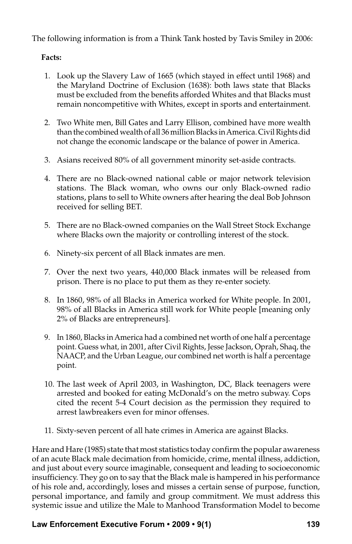The following information is from a Think Tank hosted by Tavis Smiley in 2006:

## **Facts:**

- 1. Look up the Slavery Law of 1665 (which stayed in effect until 1968) and the Maryland Doctrine of Exclusion (1638): both laws state that Blacks must be excluded from the benefits afforded Whites and that Blacks must remain noncompetitive with Whites, except in sports and entertainment.
- 2. Two White men, Bill Gates and Larry Ellison, combined have more wealth than the combined wealth of all 36 million Blacks in America. Civil Rights did not change the economic landscape or the balance of power in America.
- 3. Asians received 80% of all government minority set-aside contracts.
- 4. There are no Black-owned national cable or major network television stations. The Black woman, who owns our only Black-owned radio stations, plans to sell to White owners after hearing the deal Bob Johnson received for selling BET.
- 5. There are no Black-owned companies on the Wall Street Stock Exchange where Blacks own the majority or controlling interest of the stock.
- 6. Ninety-six percent of all Black inmates are men.
- 7. Over the next two years, 440,000 Black inmates will be released from prison. There is no place to put them as they re-enter society.
- 8. In 1860, 98% of all Blacks in America worked for White people. In 2001, 98% of all Blacks in America still work for White people [meaning only 2% of Blacks are entrepreneurs].
- 9. In 1860, Blacks in America had a combined net worth of one half a percentage point. Guess what, in 2001, after Civil Rights, Jesse Jackson, Oprah, Shaq, the NAACP, and the Urban League, our combined net worth is half a percentage point.
- 10. The last week of April 2003, in Washington, DC, Black teenagers were arrested and booked for eating McDonald's on the metro subway. Cops cited the recent 5-4 Court decision as the permission they required to arrest lawbreakers even for minor offenses.
- 11. Sixty-seven percent of all hate crimes in America are against Blacks.

Hare and Hare (1985) state that most statistics today confirm the popular awareness of an acute Black male decimation from homicide, crime, mental illness, addiction, and just about every source imaginable, consequent and leading to socioeconomic insufficiency. They go on to say that the Black male is hampered in his performance of his role and, accordingly, loses and misses a certain sense of purpose, function, personal importance, and family and group commitment. We must address this systemic issue and utilize the Male to Manhood Transformation Model to become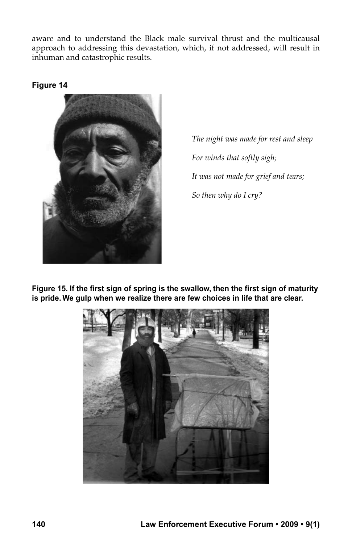aware and to understand the Black male survival thrust and the multicausal approach to addressing this devastation, which, if not addressed, will result in inhuman and catastrophic results.

## **Figure 14**



*The night was made for rest and sleep For winds that softly sigh; It was not made for grief and tears; So then why do I cry?*

**Figure 15. If the first sign of spring is the swallow, then the first sign of maturity is pride. We gulp when we realize there are few choices in life that are clear.**

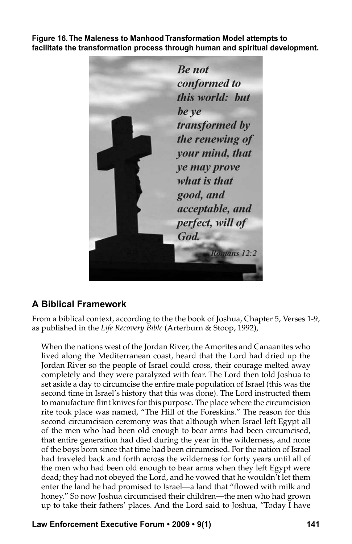**Figure 16. The Maleness to Manhood Transformation Model attempts to facilitate the transformation process through human and spiritual development.**

**Be not** conformed to this world: but be ve transformed by the renewing of your mind, that ye may prove what is that good, and acceptable, and perfect, will of God. Romans 12:2

# **A Biblical Framework**

From a biblical context, according to the the book of Joshua, Chapter 5, Verses 1-9, as published in the *Life Recovery Bible* (Arterburn & Stoop, 1992),

When the nations west of the Jordan River, the Amorites and Canaanites who lived along the Mediterranean coast, heard that the Lord had dried up the Jordan River so the people of Israel could cross, their courage melted away completely and they were paralyzed with fear. The Lord then told Joshua to set aside a day to circumcise the entire male population of Israel (this was the second time in Israel's history that this was done). The Lord instructed them to manufacture flint knives for this purpose. The place where the circumcision rite took place was named, "The Hill of the Foreskins." The reason for this second circumcision ceremony was that although when Israel left Egypt all of the men who had been old enough to bear arms had been circumcised, that entire generation had died during the year in the wilderness, and none of the boys born since that time had been circumcised. For the nation of Israel had traveled back and forth across the wilderness for forty years until all of the men who had been old enough to bear arms when they left Egypt were dead; they had not obeyed the Lord, and he vowed that he wouldn't let them enter the land he had promised to Israel—a land that "flowed with milk and honey." So now Joshua circumcised their children—the men who had grown up to take their fathers' places. And the Lord said to Joshua, "Today I have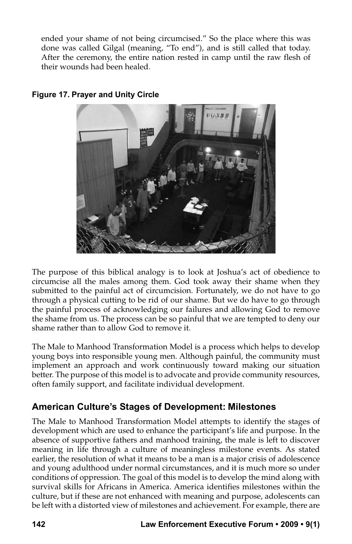ended your shame of not being circumcised." So the place where this was done was called Gilgal (meaning, "To end"), and is still called that today. After the ceremony, the entire nation rested in camp until the raw flesh of their wounds had been healed.



## **Figure 17. Prayer and Unity Circle**

The purpose of this biblical analogy is to look at Joshua's act of obedience to circumcise all the males among them. God took away their shame when they submitted to the painful act of circumcision. Fortunately, we do not have to go through a physical cutting to be rid of our shame. But we do have to go through the painful process of acknowledging our failures and allowing God to remove the shame from us. The process can be so painful that we are tempted to deny our shame rather than to allow God to remove it.

The Male to Manhood Transformation Model is a process which helps to develop young boys into responsible young men. Although painful, the community must implement an approach and work continuously toward making our situation better. The purpose of this model is to advocate and provide community resources, often family support, and facilitate individual development.

# **American Culture's Stages of Development: Milestones**

The Male to Manhood Transformation Model attempts to identify the stages of development which are used to enhance the participant's life and purpose. In the absence of supportive fathers and manhood training, the male is left to discover meaning in life through a culture of meaningless milestone events. As stated earlier, the resolution of what it means to be a man is a major crisis of adolescence and young adulthood under normal circumstances, and it is much more so under conditions of oppression. The goal of this model is to develop the mind along with survival skills for Africans in America. America identifies milestones within the culture, but if these are not enhanced with meaning and purpose, adolescents can be left with a distorted view of milestones and achievement. For example, there are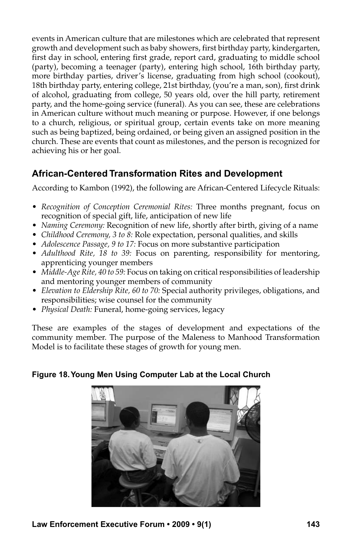events in American culture that are milestones which are celebrated that represent growth and development such as baby showers, first birthday party, kindergarten, first day in school, entering first grade, report card, graduating to middle school (party), becoming a teenager (party), entering high school, 16th birthday party, more birthday parties, driver's license, graduating from high school (cookout), 18th birthday party, entering college, 21st birthday, (you're a man, son), first drink of alcohol, graduating from college, 50 years old, over the hill party, retirement party, and the home-going service (funeral). As you can see, these are celebrations in American culture without much meaning or purpose. However, if one belongs to a church, religious, or spiritual group, certain events take on more meaning such as being baptized, being ordained, or being given an assigned position in the church. These are events that count as milestones, and the person is recognized for achieving his or her goal.

# **African-Centered Transformation Rites and Development**

According to Kambon (1992), the following are African-Centered Lifecycle Rituals:

- • *Recognition of Conception Ceremonial Rites:* Three months pregnant, focus on recognition of special gift, life, anticipation of new life
- • *Naming Ceremony:* Recognition of new life, shortly after birth, giving of a name
- • *Childhood Ceremony, 3 to 8:* Role expectation, personal qualities, and skills
- *Adolescence Passage, 9 to 17:* Focus on more substantive participation
- • *Adulthood Rite, 18 to 39:* Focus on parenting, responsibility for mentoring, apprenticing younger members
- • *Middle-Age Rite, 40 to 59:* Focus on taking on critical responsibilities of leadership and mentoring younger members of community
- • *Elevation to Eldership Rite, 60 to 70:* Special authority privileges, obligations, and responsibilities; wise counsel for the community
- *Physical Death: Funeral, home-going services, legacy*

These are examples of the stages of development and expectations of the community member. The purpose of the Maleness to Manhood Transformation Model is to facilitate these stages of growth for young men.



## **Figure 18. Young Men Using Computer Lab at the Local Church**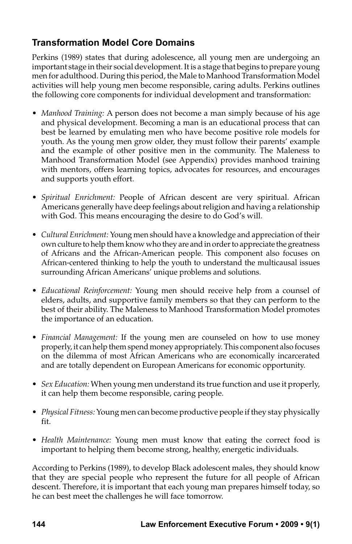# **Transformation Model Core Domains**

Perkins (1989) states that during adolescence, all young men are undergoing an important stage in their social development. It is a stage that begins to prepare young men for adulthood. During this period, the Male to Manhood Transformation Model activities will help young men become responsible, caring adults. Perkins outlines the following core components for individual development and transformation:

- • *Manhood Training:* A person does not become a man simply because of his age and physical development. Becoming a man is an educational process that can best be learned by emulating men who have become positive role models for youth. As the young men grow older, they must follow their parents' example and the example of other positive men in the community. The Maleness to Manhood Transformation Model (see Appendix) provides manhood training with mentors, offers learning topics, advocates for resources, and encourages and supports youth effort.
- • *Spiritual Enrichment:* People of African descent are very spiritual. African Americans generally have deep feelings about religion and having a relationship with God. This means encouraging the desire to do God's will.
- • *Cultural Enrichment:* Young men should have a knowledge and appreciation of their own culture to help them know who they are and in order to appreciate the greatness of Africans and the African-American people. This component also focuses on African-centered thinking to help the youth to understand the multicausal issues surrounding African Americans' unique problems and solutions.
- • *Educational Reinforcement:* Young men should receive help from a counsel of elders, adults, and supportive family members so that they can perform to the best of their ability. The Maleness to Manhood Transformation Model promotes the importance of an education.
- • *Financial Management:* If the young men are counseled on how to use money properly, it can help them spend money appropriately. This component also focuses on the dilemma of most African Americans who are economically incarcerated and are totally dependent on European Americans for economic opportunity.
- • *Sex Education:* When young men understand its true function and use it properly, it can help them become responsible, caring people.
- • *Physical Fitness:* Young men can become productive people if they stay physically fit.
- *Health Maintenance:* Young men must know that eating the correct food is important to helping them become strong, healthy, energetic individuals.

According to Perkins (1989), to develop Black adolescent males, they should know that they are special people who represent the future for all people of African descent. Therefore, it is important that each young man prepares himself today, so he can best meet the challenges he will face tomorrow.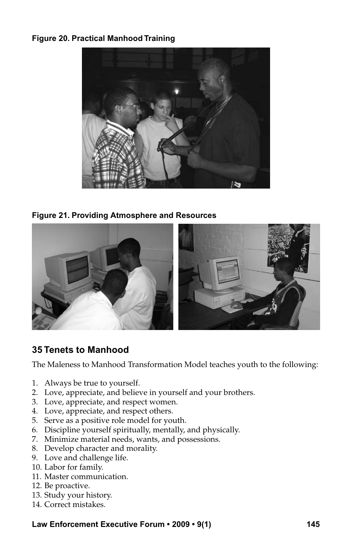## **Figure 20. Practical Manhood Training**



**Figure 21. Providing Atmosphere and Resources** 



# **35 Tenets to Manhood**

The Maleness to Manhood Transformation Model teaches youth to the following:

- 1. Always be true to yourself.
- 2. Love, appreciate, and believe in yourself and your brothers.
- 3. Love, appreciate, and respect women.
- 4. Love, appreciate, and respect others.
- 5. Serve as a positive role model for youth.
- 6. Discipline yourself spiritually, mentally, and physically.
- 7. Minimize material needs, wants, and possessions.
- 8. Develop character and morality.
- 9. Love and challenge life.
- 10. Labor for family.
- 11. Master communication.
- 12. Be proactive.
- 13. Study your history.
- 14. Correct mistakes.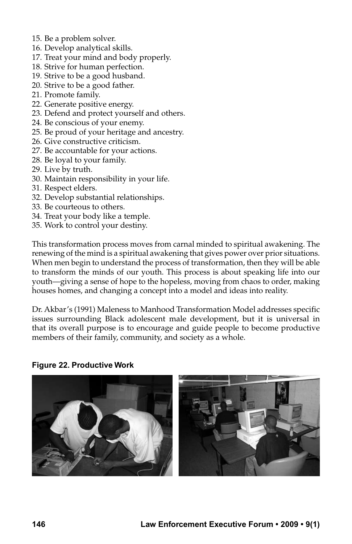- 15. Be a problem solver.
- 16. Develop analytical skills.
- 17. Treat your mind and body properly.
- 18. Strive for human perfection.
- 19. Strive to be a good husband.
- 20. Strive to be a good father.
- 21. Promote family.
- 22. Generate positive energy.
- 23. Defend and protect yourself and others.
- 24. Be conscious of your enemy.
- 25. Be proud of your heritage and ancestry.
- 26. Give constructive criticism.
- 27. Be accountable for your actions.
- 28. Be loyal to your family.
- 29. Live by truth.
- 30. Maintain responsibility in your life.
- 31. Respect elders.
- 32. Develop substantial relationships.
- 33. Be courteous to others.
- 34. Treat your body like a temple.
- 35. Work to control your destiny.

This transformation process moves from carnal minded to spiritual awakening. The renewing of the mind is a spiritual awakening that gives power over prior situations. When men begin to understand the process of transformation, then they will be able to transform the minds of our youth. This process is about speaking life into our youth—giving a sense of hope to the hopeless, moving from chaos to order, making houses homes, and changing a concept into a model and ideas into reality.

Dr. Akbar's (1991) Maleness to Manhood Transformation Model addresses specific issues surrounding Black adolescent male development, but it is universal in that its overall purpose is to encourage and guide people to become productive members of their family, community, and society as a whole.

#### **Figure 22. Productive Work**

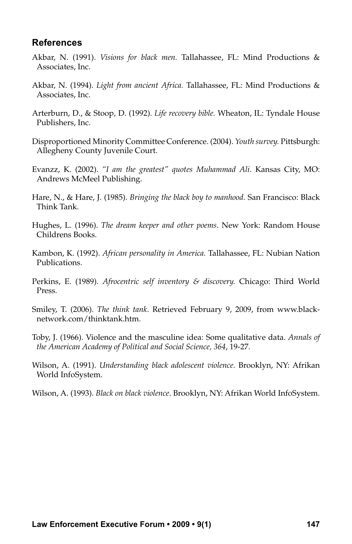## **References**

- Akbar, N. (1991). *Visions for black men.* Tallahassee, FL: Mind Productions & Associates, Inc.
- Akbar, N. (1994). *Light from ancient Africa.* Tallahassee, FL: Mind Productions & Associates, Inc.
- Arterburn, D., & Stoop, D. (1992). *Life recovery bible.* Wheaton, IL: Tyndale House Publishers, Inc.
- Disproportioned Minority Committee Conference. (2004). *Youth survey.* Pittsburgh: Allegheny County Juvenile Court.
- Evanzz, K. (2002). *"I am the greatest" quotes Muhammad Ali*. Kansas City, MO: Andrews McMeel Publishing.
- Hare, N., & Hare, J. (1985). *Bringing the black boy to manhood.* San Francisco: Black Think Tank.
- Hughes, L. (1996). *The dream keeper and other poems*. New York: Random House Childrens Books.
- Kambon, K. (1992). *African personality in America.* Tallahassee, FL: Nubian Nation Publications.
- Perkins, E. (1989). *Afrocentric self inventory & discovery.* Chicago: Third World Press.
- Smiley, T. (2006). *The think tank*. Retrieved February 9, 2009, from www.blacknetwork.com/thinktank.htm.
- Toby, J. (1966). Violence and the masculine idea: Some qualitative data. *Annals of the American Academy of Political and Social Science, 364*, 19-27.
- Wilson, A. (1991). *Understanding black adolescent violence.* Brooklyn, NY: Afrikan World InfoSystem.
- Wilson, A. (1993). *Black on black violence*. Brooklyn, NY: Afrikan World InfoSystem.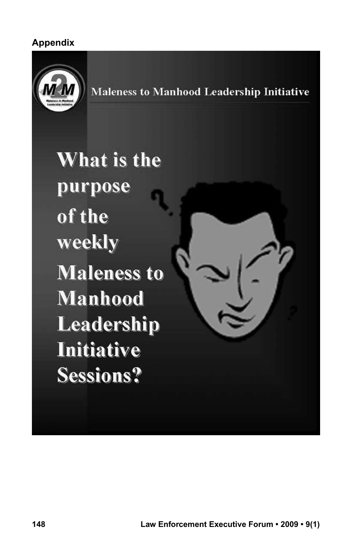# **Appendix**



**Maleness to Manhood Leadership Initiative** 

What is the purpose of the weekly **Maleness to Manhood** Leadership **Initiative Sessions?**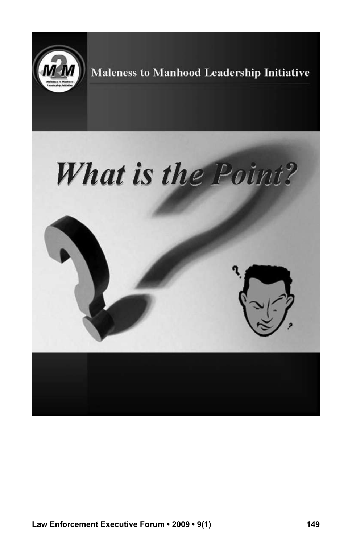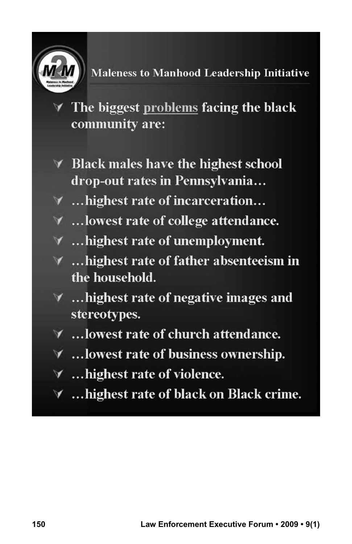

**Maleness to Manhood Leadership Initiative** 

 $\forall$  The biggest problems facing the black community are:

- **★ Black males have the highest school** drop-out rates in Pennsylvania...
- $\forall$  ... highest rate of incarceration...
- ∀ ...lowest rate of college attendance.
- $\forall$  ... highest rate of unemployment.
- **▼** ... highest rate of father absenteeism in the household.
- **∀** …highest rate of negative images and stereotypes.
- $\forall$  ... lowest rate of church attendance.
- $\forall$  ... lowest rate of business ownership.
- $\forall$  ... highest rate of violence.
- **∀** …highest rate of black on Black crime.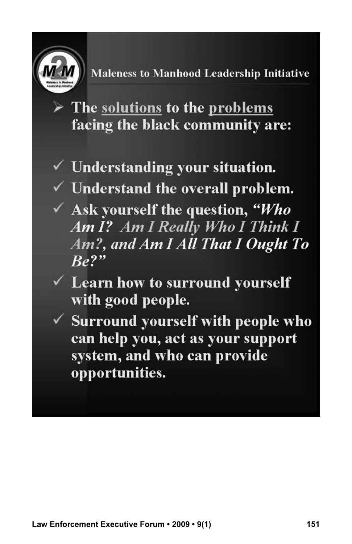

Maleness to Manhood Leadership Initiative

 $\triangleright$  The solutions to the problems facing the black community are:

 $\checkmark$  Understanding your situation.

 $\checkmark$  Understand the overall problem.

- $\checkmark$  Ask yourself the question, "Who Am I? Am I Really Who I Think I Am?, and Am I All That I Ought To  $Be<sup>2</sup>$
- $\checkmark$  Learn how to surround yourself with good people.
- $\checkmark$  Surround yourself with people who can help you, act as your support system, and who can provide opportunities.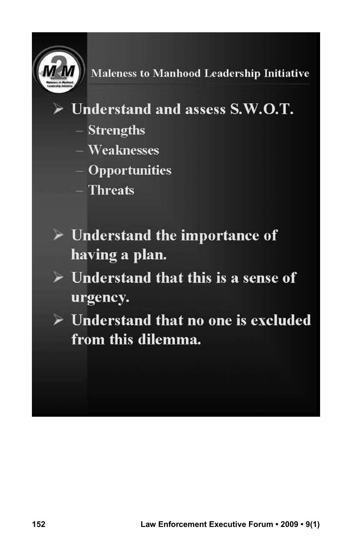

- $\triangleright$  Understand and assess S.W.O.T.
	- Strengths
	- $-$  Weaknesses
	- $-$  Opportunities
	- Threats
- $\triangleright$  Understand the importance of having a plan.
- $\triangleright$  Understand that this is a sense of urgency.
- $\triangleright$  Understand that no one is excluded from this dilemma.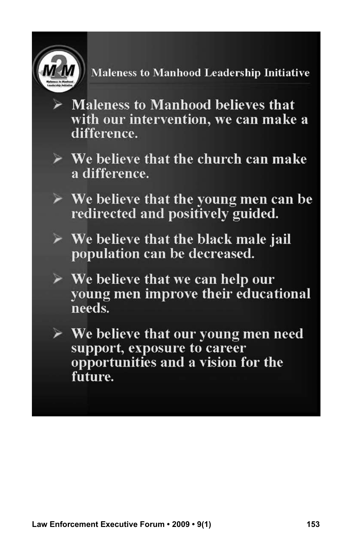

Maleness to Manhood Leadership Initiative

- $\triangleright$  Maleness to Manhood believes that with our intervention, we can make a difference.
- $\triangleright$  We believe that the church can make a difference.
- $\triangleright$  We believe that the young men can be redirected and positively guided.
- $\triangleright$  We believe that the black male jail population can be decreased.
- $\triangleright$  We believe that we can help our young men improve their educational needs.
- $\triangleright$  We believe that our young men need support, exposure to career opportunities and a vision for the future.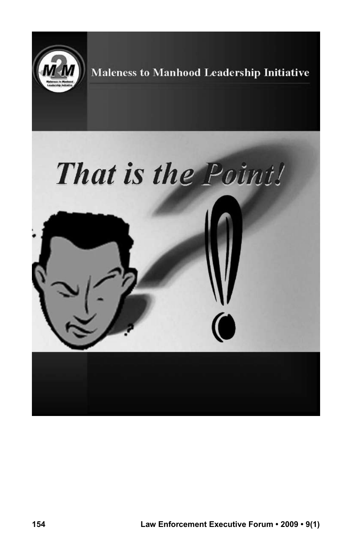